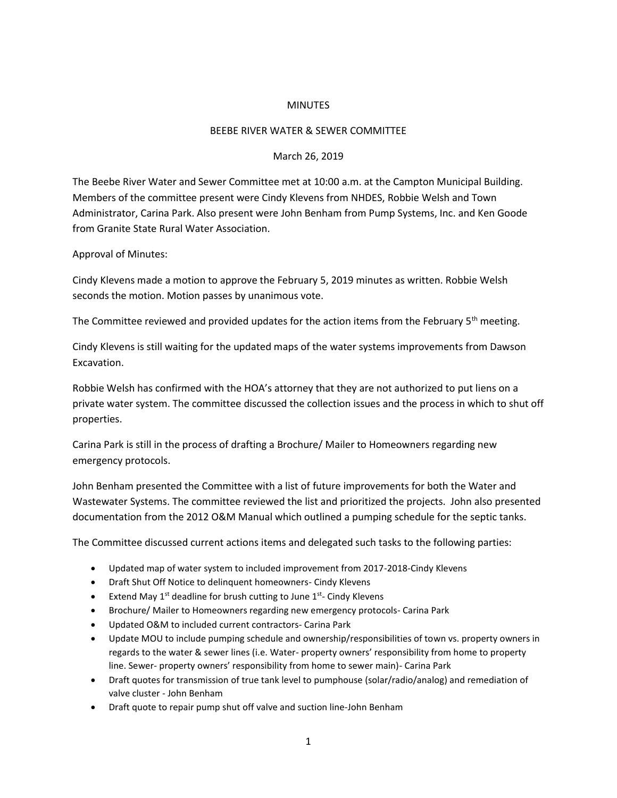## **MINUTES**

## BEEBE RIVER WATER & SEWER COMMITTEE

## March 26, 2019

The Beebe River Water and Sewer Committee met at 10:00 a.m. at the Campton Municipal Building. Members of the committee present were Cindy Klevens from NHDES, Robbie Welsh and Town Administrator, Carina Park. Also present were John Benham from Pump Systems, Inc. and Ken Goode from Granite State Rural Water Association.

## Approval of Minutes:

Cindy Klevens made a motion to approve the February 5, 2019 minutes as written. Robbie Welsh seconds the motion. Motion passes by unanimous vote.

The Committee reviewed and provided updates for the action items from the February 5<sup>th</sup> meeting.

Cindy Klevens is still waiting for the updated maps of the water systems improvements from Dawson Excavation.

Robbie Welsh has confirmed with the HOA's attorney that they are not authorized to put liens on a private water system. The committee discussed the collection issues and the process in which to shut off properties.

Carina Park is still in the process of drafting a Brochure/ Mailer to Homeowners regarding new emergency protocols.

John Benham presented the Committee with a list of future improvements for both the Water and Wastewater Systems. The committee reviewed the list and prioritized the projects. John also presented documentation from the 2012 O&M Manual which outlined a pumping schedule for the septic tanks.

The Committee discussed current actions items and delegated such tasks to the following parties:

- Updated map of water system to included improvement from 2017-2018-Cindy Klevens
- Draft Shut Off Notice to delinquent homeowners- Cindy Klevens
- Extend May 1<sup>st</sup> deadline for brush cutting to June 1<sup>st</sup>- Cindy Klevens
- Brochure/ Mailer to Homeowners regarding new emergency protocols- Carina Park
- Updated O&M to included current contractors- Carina Park
- Update MOU to include pumping schedule and ownership/responsibilities of town vs. property owners in regards to the water & sewer lines (i.e. Water- property owners' responsibility from home to property line. Sewer- property owners' responsibility from home to sewer main)- Carina Park
- Draft quotes for transmission of true tank level to pumphouse (solar/radio/analog) and remediation of valve cluster - John Benham
- Draft quote to repair pump shut off valve and suction line-John Benham